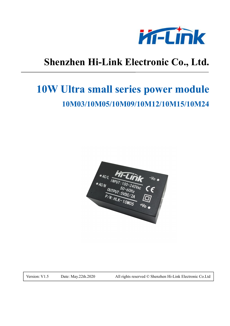

# **Shenzhen Hi-Link Electronic Co., Ltd.**

# **10W Ultra small series power module 10M03/10M05/10M09/10M12/10M15/10M24**



Version: V1.5 Date: May.22th.2020 All rights reserved © Shenzhen Hi-Link Electronic Co.Ltd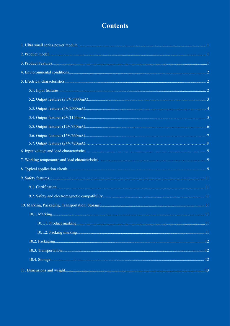# **Contents**

| 11 Dimensions and weight | 13 |
|--------------------------|----|
|                          |    |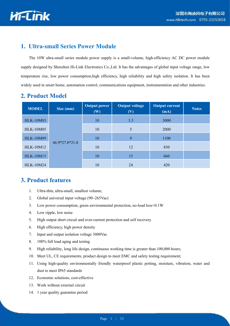

#### **1. Ultra-small Series Power Module**

The 10W ultra-small series module power supply is a small-volume, high-efficiency AC DC power module supply designed by Shenzhen Hi-Link Electronics Co.,Ltd. It has the advantages of global input voltage range, low temperature rise, low power consumption,high efficiency, high reliability and high safety isolation. It has been widely used in smart home, automation control, communications equipment, instrumentation and other industries.

| 2. Product Model |  |
|------------------|--|
|                  |  |

| <b>MODEL</b>     | Size (mm)      | <b>Output power</b><br>(W) | <b>Output voltage</b><br>(V) | <b>Output current</b><br>(mA) | <b>Notes</b> |
|------------------|----------------|----------------------------|------------------------------|-------------------------------|--------------|
| <b>HLK-10M03</b> |                | 10                         | 3.3                          | 3000                          |              |
| <b>HLK-10M05</b> |                | 10                         | 5                            | 2000                          |              |
| <b>HLK-10M09</b> |                | 10                         | 9                            | 1100                          |              |
| <b>HLK-10M12</b> | 46.9*27.8*21.8 | 10                         | 12                           | 830                           |              |
| <b>HLK-10M15</b> |                | 10                         | 15                           | 660                           |              |
| <b>HLK-10M24</b> |                | 10                         | 24                           | 420                           |              |

#### **3. Product features**

- 1. Ultra-thin, ultra-small, smallest volume;
- 2. Global universal input voltage (90~265Vac)
- 3. Low power consumption, green environmental protection, no-load loss<0.1W
- 4. Low ripple, low noise
- 5. High output short circuit and over-current protection and self recovery
- 6. High efficiency, high power density
- 7. Input and output isolation voltage 3000Vac
- 8. 100% full load aging and testing
- 9. High reliability, long life design, continuous working time is greater than 100,000 hours;
- 10. Meet UL, CE requirements; product design to meet EMC and safety testing requirement;
- 11. Using high-quality environmentally friendly waterproof plastic potting, moisture, vibration, water and dust to meet IP65 standards
- 12. Economic solutions, cost-effective
- 13. Work without external circuit
- 14. 1 year quality guarantee period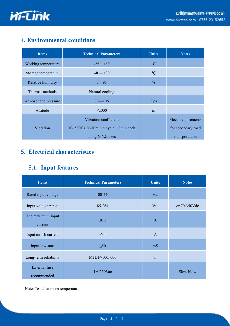

## **4. Environmental conditions**

| <b>Items</b>         | <b>Technical Parameters</b>          | <b>Units</b>  | <b>Notes</b>       |
|----------------------|--------------------------------------|---------------|--------------------|
| Working temperature  | $-25 - 60$                           | $\mathrm{C}$  |                    |
| Storage temperature  | $-40-80$                             | $\mathrm{C}$  |                    |
| Relative humidity    | $5 - 95$                             | $\frac{0}{0}$ |                    |
| Thermal methods      | Natural cooling                      |               |                    |
| Atmospheric pressure | $80 - 106$                           | Kpa           |                    |
| Altitude             | $\leq$ 2000                          | m             |                    |
|                      | Vibration coefficient                |               | Meets requirements |
| Vibration            | 10~500Hz,2G10min./1cycle, 60min.each |               | for secondary road |
|                      | along X, Y, Z axes                   |               | transportation     |

# **5. Electrical characteristics**

## **5.1. Input features**

| <b>Items</b>                        | <b>Technical Parameters</b> | <b>Units</b> | <b>Notes</b> |
|-------------------------------------|-----------------------------|--------------|--------------|
|                                     |                             |              |              |
| Rated input voltage                 | 100-240                     | Vac          |              |
| Input voltage range                 | 85-264                      | Vac          | or 70-350Vdc |
| The maximum input<br>current        | $\leq 0.3$                  | $\mathbf{A}$ |              |
| Input inrush current                | $\leq$ 34                   | $\mathbf{A}$ |              |
| Input low start                     | $\leq 50$                   | mS           |              |
| Long-term reliability               | MTBF≥100, 000               | $\,h$        |              |
| <b>External</b> fuse<br>recommended | 1A/250Vac                   |              | Slow blow    |

Note: Tested at room temperature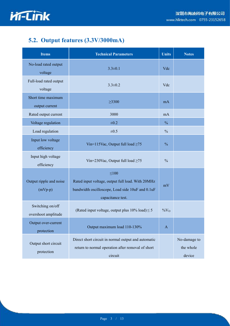

# **5.2. Output features (3.3V/3000mA)**

| <b>Items</b>                            | <b>Technical Parameters</b>                                                                                                              | <b>Units</b>  | <b>Notes</b>                        |
|-----------------------------------------|------------------------------------------------------------------------------------------------------------------------------------------|---------------|-------------------------------------|
| No-load rated output<br>voltage         | $3.3 \pm 0.1$                                                                                                                            |               |                                     |
| Full-load rated output<br>voltage       | $3.3 \pm 0.2$                                                                                                                            | Vdc           |                                     |
| Short time maximum<br>output current    | $\geq 3300$                                                                                                                              | mA            |                                     |
| Rated output current                    | 3000                                                                                                                                     | mA            |                                     |
| Voltage regulation                      | $\pm 0.2$                                                                                                                                | $\frac{0}{0}$ |                                     |
| Load regulation                         | $\pm 0.5$                                                                                                                                | $\frac{0}{0}$ |                                     |
| Input low voltage<br>efficiency         | Vin=115Vac, Output full load $\geq 75$                                                                                                   |               |                                     |
| Input high voltage<br>efficiency        | Vin=230Vac, Output full load $\geq 75$                                                                                                   |               |                                     |
| Output ripple and noise<br>$(mVp-p)$    | $\leq 100$<br>Rated input voltage, output full load. With 20MHz<br>bandwidth oscilloscope, Load side 10uF and 0.1uF<br>capacitance test. |               |                                     |
| Switching on/off<br>overshoot amplitude | (Rated input voltage, output plus $10\%$ load) $\leq 5$                                                                                  |               |                                     |
| Output over-current<br>protection       | Output maximum load 110-130%                                                                                                             | $\mathbf{A}$  |                                     |
| Output short circuit<br>protection      | Direct short circuit in normal output and automatic<br>return to normal operation after removal of short<br>circuit                      |               | No-damage to<br>the whole<br>device |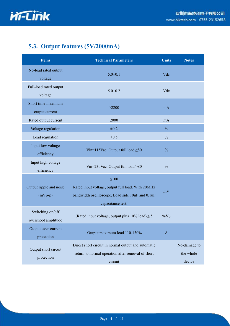

# **5.3. Output features (5V/2000mA)**

| <b>Items</b>                            | <b>Technical Parameters</b>                                                                                                              | <b>Units</b>  | <b>Notes</b>                        |
|-----------------------------------------|------------------------------------------------------------------------------------------------------------------------------------------|---------------|-------------------------------------|
| No-load rated output<br>voltage         | $5.0 \pm 0.1$                                                                                                                            |               |                                     |
| Full-load rated output<br>voltage       | $5.0 \pm 0.2$                                                                                                                            | Vdc           |                                     |
| Short time maximum<br>output current    | $\geq$ 2200                                                                                                                              | mA            |                                     |
| Rated output current                    | 2000                                                                                                                                     | mA            |                                     |
| Voltage regulation                      | $\pm 0.2$                                                                                                                                | $\frac{0}{0}$ |                                     |
| Load regulation                         | $\pm 0.5$                                                                                                                                | $\frac{0}{0}$ |                                     |
| Input low voltage<br>efficiency         | Vin=115Vac, Output full load $\geq 80$                                                                                                   |               |                                     |
| Input high voltage<br>efficiency        | Vin=230Vac, Output full load $\geq 80$                                                                                                   |               |                                     |
| Output ripple and noise<br>$(mVp-p)$    | $\leq 100$<br>Rated input voltage, output full load. With 20MHz<br>bandwidth oscilloscope, Load side 10uF and 0.1uF<br>capacitance test. |               |                                     |
| Switching on/off<br>overshoot amplitude | (Rated input voltage, output plus $10\%$ load) $\leq 5$                                                                                  |               |                                     |
| Output over-current<br>protection       | Output maximum load 110-130%                                                                                                             | $\mathbf{A}$  |                                     |
| Output short circuit<br>protection      | Direct short circuit in normal output and automatic<br>return to normal operation after removal of short<br>circuit                      |               | No-damage to<br>the whole<br>device |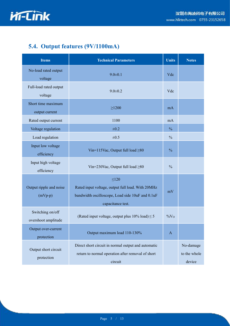

# **5.4. Output features (9V/1100mA)**

| <b>Items</b>                            | <b>Technical Parameters</b>                                                                                                              | <b>Units</b>  | <b>Notes</b>                        |
|-----------------------------------------|------------------------------------------------------------------------------------------------------------------------------------------|---------------|-------------------------------------|
| No-load rated output<br>voltage         | $9.0 \pm 0.1$                                                                                                                            | Vdc           |                                     |
| Full-load rated output<br>voltage       | $9.0 \pm 0.2$                                                                                                                            | Vdc           |                                     |
| Short time maximum<br>output current    | $\geq$ 1200                                                                                                                              | mA            |                                     |
| Rated output current                    | 1100                                                                                                                                     | mA            |                                     |
| Voltage regulation                      | $\pm 0.2$                                                                                                                                | $\frac{0}{0}$ |                                     |
| Load regulation                         | $\pm 0.5$                                                                                                                                | $\frac{0}{0}$ |                                     |
| Input low voltage<br>efficiency         | Vin=115Vac, Output full load ≥80                                                                                                         |               |                                     |
| Input high voltage<br>efficiency        | Vin=230Vac, Output full load $\geq 80$                                                                                                   |               |                                     |
| Output ripple and noise<br>$(mVp-p)$    | $\leq 120$<br>Rated input voltage, output full load. With 20MHz<br>bandwidth oscilloscope, Load side 10uF and 0.1uF<br>capacitance test. |               |                                     |
| Switching on/off<br>overshoot amplitude | (Rated input voltage, output plus $10\%$ load) $\leq 5$                                                                                  |               |                                     |
| Output over-current<br>protection       | Output maximum load 110-130%                                                                                                             | $\mathbf{A}$  |                                     |
| Output short circuit<br>protection      | Direct short circuit in normal output and automatic<br>return to normal operation after removal of short<br>circuit                      |               | No-damage<br>to the whole<br>device |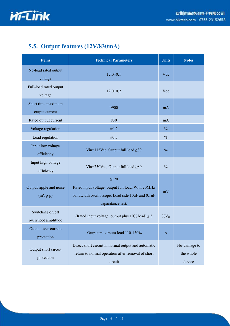

# **5.5. Output features (12V/830mA)**

| <b>Items</b>                            | <b>Technical Parameters</b><br><b>Units</b>                                                                                              |               | <b>Notes</b>                        |
|-----------------------------------------|------------------------------------------------------------------------------------------------------------------------------------------|---------------|-------------------------------------|
| No-load rated output<br>voltage         | $12.0 \pm 0.1$                                                                                                                           |               |                                     |
| Full-load rated output<br>voltage       | $12.0 \pm 0.2$                                                                                                                           | Vdc           |                                     |
| Short time maximum<br>output current    | $\geq 900$                                                                                                                               | mA            |                                     |
| Rated output current                    | 830                                                                                                                                      | mA            |                                     |
| Voltage regulation                      | $\pm 0.2$                                                                                                                                | $\frac{0}{0}$ |                                     |
| Load regulation                         | $\pm 0.5$                                                                                                                                | $\frac{0}{0}$ |                                     |
| Input low voltage<br>efficiency         | Vin=115Vac, Output full load $\geq 80$                                                                                                   |               |                                     |
| Input high voltage<br>efficiency        | Vin=230Vac, Output full load $\geq 80$                                                                                                   |               |                                     |
| Output ripple and noise<br>$(mVp-p)$    | $\leq 120$<br>Rated input voltage, output full load. With 20MHz<br>bandwidth oscilloscope, Load side 10uF and 0.1uF<br>capacitance test. |               |                                     |
| Switching on/off<br>overshoot amplitude | (Rated input voltage, output plus $10\%$ load) $\leq 5$                                                                                  |               |                                     |
| Output over-current<br>protection       | Output maximum load 110-130%                                                                                                             | $\mathbf{A}$  |                                     |
| Output short circuit<br>protection      | Direct short circuit in normal output and automatic<br>return to normal operation after removal of short<br>circuit                      |               | No-damage to<br>the whole<br>device |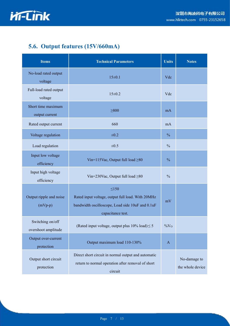

# **5.6. Output features (15V/660mA)**

| <b>Items</b>                            | <b>Technical Parameters</b>                                                                                                              | <b>Units</b>  | <b>Notes</b>                     |
|-----------------------------------------|------------------------------------------------------------------------------------------------------------------------------------------|---------------|----------------------------------|
| No-load rated output<br>voltage         | 15±0.1                                                                                                                                   |               |                                  |
| Full-load rated output<br>voltage       | $15 \pm 0.2$                                                                                                                             | Vdc           |                                  |
| Short time maximum<br>output current    | $\geq 800$                                                                                                                               | mA            |                                  |
| Rated output current                    | 660                                                                                                                                      | mA            |                                  |
| Voltage regulation                      | $\pm 0.2$                                                                                                                                | $\frac{0}{0}$ |                                  |
| Load regulation                         | $\pm 0.5$                                                                                                                                |               |                                  |
| Input low voltage<br>efficiency         | Vin=115Vac, Output full load $\geq 80$                                                                                                   |               |                                  |
| Input high voltage<br>efficiency        | Vin=230Vac, Output full load $\geq 80$                                                                                                   |               |                                  |
| Output ripple and noise<br>$(mVp-p)$    | $\leq 150$<br>Rated input voltage, output full load. With 20MHz<br>bandwidth oscilloscope, Load side 10uF and 0.1uF<br>capacitance test. |               |                                  |
| Switching on/off<br>overshoot amplitude | (Rated input voltage, output plus $10\%$ load) $\leq$ 5                                                                                  |               |                                  |
| Output over-current<br>protection       | Output maximum load 110-130%                                                                                                             | $\mathbf{A}$  |                                  |
| Output short circuit<br>protection      | Direct short circuit in normal output and automatic<br>return to normal operation after removal of short<br>circuit                      |               | No-damage to<br>the whole device |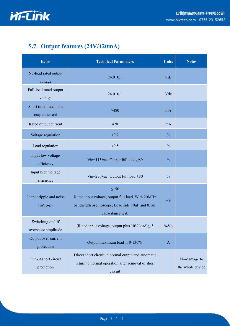

# **5.7. Output features (24V/420mA)**

| <b>Items</b>                            | <b>Technical Parameters</b>                                                                                                              | <b>Units</b>  | <b>Notes</b>                     |
|-----------------------------------------|------------------------------------------------------------------------------------------------------------------------------------------|---------------|----------------------------------|
| No-load rated output<br>voltage         | $24.0 \pm 0.1$                                                                                                                           |               |                                  |
| Full-load rated output<br>voltage       | $24.0 \pm 0.1$                                                                                                                           | Vdc           |                                  |
| Short time maximum<br>output current    | $\geq 480$                                                                                                                               | mA            |                                  |
| Rated output current                    | 420                                                                                                                                      | mA            |                                  |
| Voltage regulation                      | $\pm 0.2$                                                                                                                                | $\frac{0}{0}$ |                                  |
| Load regulation                         | $\pm 0.5$                                                                                                                                |               |                                  |
| Input low voltage<br>efficiency         | Vin=115Vac, Output full load $\geq 80$                                                                                                   |               |                                  |
| Input high voltage<br>efficiency        | Vin=230Vac, Output full load $\geq 80$                                                                                                   |               |                                  |
| Output ripple and noise<br>$(mVp-p)$    | $\leq 150$<br>Rated input voltage, output full load. With 20MHz<br>bandwidth oscilloscope, Load side 10uF and 0.1uF<br>capacitance test. |               |                                  |
| Switching on/off<br>overshoot amplitude | (Rated input voltage, output plus $10\%$ load) $\leq 5$                                                                                  |               |                                  |
| Output over-current<br>protection       | Output maximum load 110-130%                                                                                                             | $\mathbf{A}$  |                                  |
| Output short circuit<br>protection      | Direct short circuit in normal output and automatic<br>return to normal operation after removal of short<br>circuit                      |               | No-damage to<br>the whole device |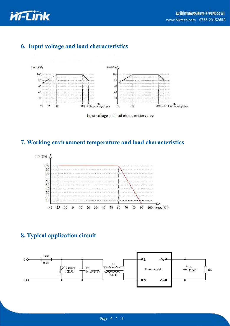

## **6. Input voltage and load characteristics**



Input voltage and load characteristic curve

#### **7. Working environment temperature and load characteristics**



## **8. Typical application circuit**

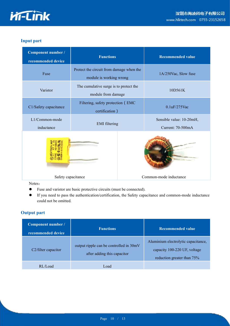

#### **Input part**

| Component number /<br>recommended device | <b>Functions</b>                                                    |  | <b>Recommended value</b>                      |  |              |
|------------------------------------------|---------------------------------------------------------------------|--|-----------------------------------------------|--|--------------|
| Fuse                                     | Protect the circuit from damage when the<br>module is working wrong |  | 1A/250Vac, Slow fuse                          |  |              |
| Varistor                                 | The cumulative surge is to protect the<br>module from damage        |  | 10D561K                                       |  |              |
| C1/Safety capacitance                    | Filtering, safety protection (EMC<br>certification)                 |  |                                               |  | 0.1uF/275Vac |
| L1/Common-mode<br>inductance             | <b>EMI</b> filtering                                                |  | Sensible value: 10-20mH,<br>Current: 70-500mA |  |              |
|                                          |                                                                     |  |                                               |  |              |
| Safety capacitance                       |                                                                     |  | Common-mode inductance                        |  |              |

Notes:

- Fuse and varistor are basic protective circuits (must be connected).
- If you need to pass the authentication/certification, the Safety capacitance and common-mode inductance could not be omitted.

#### **Output part**

| Component number /<br>recommended device | <b>Functions</b>                                                       | <b>Recommended value</b>                                                                          |
|------------------------------------------|------------------------------------------------------------------------|---------------------------------------------------------------------------------------------------|
| C <sub>2</sub> /filter capacitor         | output ripple can be controlled in 30mV<br>after adding this capacitor | Aluminium electrolytic capacitance,<br>capacity 100-220 UF, voltage<br>reduction greater than 75% |
| RL/Load                                  | Load                                                                   |                                                                                                   |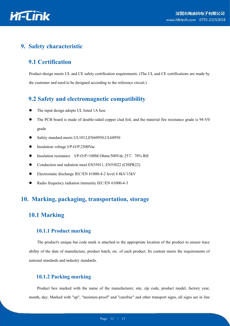

#### **9. Safety characteristic**

#### **9.1 Certification**

Product design meets UL and CE safety certification requirements. (The UL and CE certifications are made by the customer and need to be designed according to the reference circuit.)

#### **9.2 Safety and electromagnetic compatibility**

- The input design adopts UL listed 1A fuse
- The PCB board is made of double-sided copper clad foil, and the material fire resistance grade is 94-V0 grade
- Safety standard meets UL1012,EN60950,UL60950
- Insulation voltage I/P-O/P:2500Vac
- Insulation resistance I/P-O/P>100M Ohms/500Vdc 25℃ 70% RH
- Conduction and radiation meet EN55011, EN55022 (CISPR22)
- Electrostatic discharge IEC/EN 61000-4-2 level 4 8kV/15kV
- Radio frequency radiation immunity IEC/EN 61000-4-3

#### **10. Marking, packaging, transportation, storage**

#### **10.1 Marking**

#### **10.1.1 Product marking**

The product's unique bar code mark is attached to the appropriate location of the product to ensure trace ability of the date of manufacture, product batch, etc. of each product. Its content meets the requirements of national standards and industry standards.

#### **10.1.2 Packing marking**

Product box marked with the name of the manufacturer, site, zip code, product model, factory year, month, day; Marked with "up", "moisture-proof" and "carefree" and other transport signs, all signs are in line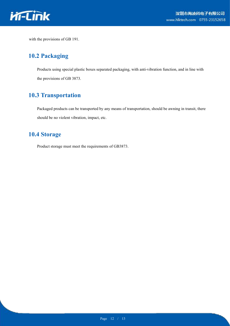

with the provisions of GB 191.

#### **10.2 Packaging**

Products using special plastic boxes separated packaging, with anti-vibration function, and in line with the provisions of GB 3873.

#### **10.3 Transportation**

Packaged products can be transported by any means of transportation, should be awning in transit, there should be no violent vibration, impact, etc.

## **10.4 Storage**

Product storage must meet the requirements of GB3873.